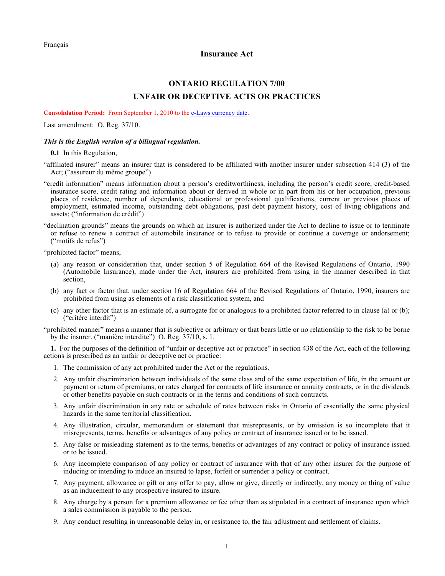## **Insurance Act**

## **ONTARIO REGULATION 7/00 UNFAIR OR DECEPTIVE ACTS OR PRACTICES**

**Consolidation Period:** From September 1, 2010 to the e-Laws currency date.

Last amendment: O. Reg. 37/10.

## *This is the English version of a bilingual regulation.*

**0.1** In this Regulation,

"affiliated insurer" means an insurer that is considered to be affiliated with another insurer under subsection 414 (3) of the Act; ("assureur du même groupe")

- "credit information" means information about a person's creditworthiness, including the person's credit score, credit-based insurance score, credit rating and information about or derived in whole or in part from his or her occupation, previous places of residence, number of dependants, educational or professional qualifications, current or previous places of employment, estimated income, outstanding debt obligations, past debt payment history, cost of living obligations and assets; ("information de crédit")
- "declination grounds" means the grounds on which an insurer is authorized under the Act to decline to issue or to terminate or refuse to renew a contract of automobile insurance or to refuse to provide or continue a coverage or endorsement; ("motifs de refus")

"prohibited factor" means,

- (a) any reason or consideration that, under section 5 of Regulation 664 of the Revised Regulations of Ontario, 1990 (Automobile Insurance), made under the Act, insurers are prohibited from using in the manner described in that section,
- (b) any fact or factor that, under section 16 of Regulation 664 of the Revised Regulations of Ontario, 1990, insurers are prohibited from using as elements of a risk classification system, and
- (c) any other factor that is an estimate of, a surrogate for or analogous to a prohibited factor referred to in clause (a) or (b); ("critère interdit")

"prohibited manner" means a manner that is subjective or arbitrary or that bears little or no relationship to the risk to be borne by the insurer. ("manière interdite") O. Reg. 37/10, s. 1.

**1.** For the purposes of the definition of "unfair or deceptive act or practice" in section 438 of the Act, each of the following actions is prescribed as an unfair or deceptive act or practice:

- 1. The commission of any act prohibited under the Act or the regulations.
- 2. Any unfair discrimination between individuals of the same class and of the same expectation of life, in the amount or payment or return of premiums, or rates charged for contracts of life insurance or annuity contracts, or in the dividends or other benefits payable on such contracts or in the terms and conditions of such contracts.
- 3. Any unfair discrimination in any rate or schedule of rates between risks in Ontario of essentially the same physical hazards in the same territorial classification.
- 4. Any illustration, circular, memorandum or statement that misrepresents, or by omission is so incomplete that it misrepresents, terms, benefits or advantages of any policy or contract of insurance issued or to be issued.
- 5. Any false or misleading statement as to the terms, benefits or advantages of any contract or policy of insurance issued or to be issued.
- 6. Any incomplete comparison of any policy or contract of insurance with that of any other insurer for the purpose of inducing or intending to induce an insured to lapse, forfeit or surrender a policy or contract.
- 7. Any payment, allowance or gift or any offer to pay, allow or give, directly or indirectly, any money or thing of value as an inducement to any prospective insured to insure.
- 8. Any charge by a person for a premium allowance or fee other than as stipulated in a contract of insurance upon which a sales commission is payable to the person.
- 9. Any conduct resulting in unreasonable delay in, or resistance to, the fair adjustment and settlement of claims.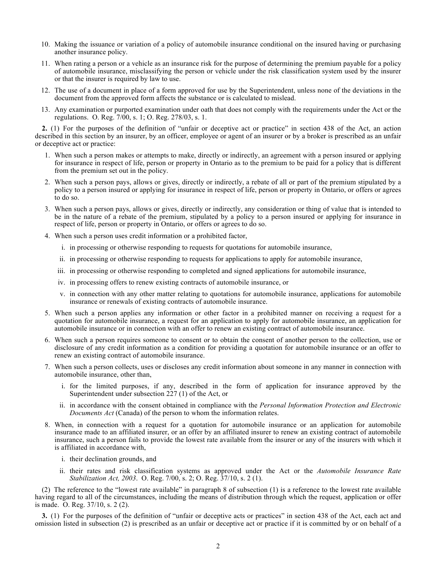- 10. Making the issuance or variation of a policy of automobile insurance conditional on the insured having or purchasing another insurance policy.
- 11. When rating a person or a vehicle as an insurance risk for the purpose of determining the premium payable for a policy of automobile insurance, misclassifying the person or vehicle under the risk classification system used by the insurer or that the insurer is required by law to use.
- 12. The use of a document in place of a form approved for use by the Superintendent, unless none of the deviations in the document from the approved form affects the substance or is calculated to mislead.
- 13. Any examination or purported examination under oath that does not comply with the requirements under the Act or the regulations. O. Reg. 7/00, s. 1; O. Reg. 278/03, s. 1.

**2.** (1)For the purposes of the definition of "unfair or deceptive act or practice" in section 438 of the Act, an action described in this section by an insurer, by an officer, employee or agent of an insurer or by a broker is prescribed as an unfair or deceptive act or practice:

- 1. When such a person makes or attempts to make, directly or indirectly, an agreement with a person insured or applying for insurance in respect of life, person or property in Ontario as to the premium to be paid for a policy that is different from the premium set out in the policy.
- 2. When such a person pays, allows or gives, directly or indirectly, a rebate of all or part of the premium stipulated by a policy to a person insured or applying for insurance in respect of life, person or property in Ontario, or offers or agrees to do so.
- 3. When such a person pays, allows or gives, directly or indirectly, any consideration or thing of value that is intended to be in the nature of a rebate of the premium, stipulated by a policy to a person insured or applying for insurance in respect of life, person or property in Ontario, or offers or agrees to do so.
- 4. When such a person uses credit information or a prohibited factor,
	- i. in processing or otherwise responding to requests for quotations for automobile insurance,
	- ii. in processing or otherwise responding to requests for applications to apply for automobile insurance,
	- iii. in processing or otherwise responding to completed and signed applications for automobile insurance,
	- iv. in processing offers to renew existing contracts of automobile insurance, or
	- v. in connection with any other matter relating to quotations for automobile insurance, applications for automobile insurance or renewals of existing contracts of automobile insurance.
- 5. When such a person applies any information or other factor in a prohibited manner on receiving a request for a quotation for automobile insurance, a request for an application to apply for automobile insurance, an application for automobile insurance or in connection with an offer to renew an existing contract of automobile insurance.
- 6. When such a person requires someone to consent or to obtain the consent of another person to the collection, use or disclosure of any credit information as a condition for providing a quotation for automobile insurance or an offer to renew an existing contract of automobile insurance.
- 7. When such a person collects, uses or discloses any credit information about someone in any manner in connection with automobile insurance, other than,
	- i. for the limited purposes, if any, described in the form of application for insurance approved by the Superintendent under subsection 227 (1) of the Act, or
	- ii. in accordance with the consent obtained in compliance with the *Personal Information Protection and Electronic Documents Act* (Canada) of the person to whom the information relates.
- 8. When, in connection with a request for a quotation for automobile insurance or an application for automobile insurance made to an affiliated insurer, or an offer by an affiliated insurer to renew an existing contract of automobile insurance, such a person fails to provide the lowest rate available from the insurer or any of the insurers with which it is affiliated in accordance with,
	- i. their declination grounds, and
	- ii. their rates and risk classification systems as approved under the Act or the *Automobile Insurance Rate Stabilization Act, 2003*. O. Reg. 7/00, s. 2; O. Reg. 37/10, s. 2 (1).

(2) The reference to the "lowest rate available" in paragraph 8 of subsection (1) is a reference to the lowest rate available having regard to all of the circumstances, including the means of distribution through which the request, application or offer is made. O. Reg. 37/10, s. 2 (2).

**3.** (1) For the purposes of the definition of "unfair or deceptive acts or practices" in section 438 of the Act, each act and omission listed in subsection (2) is prescribed as an unfair or deceptive act or practice if it is committed by or on behalf of a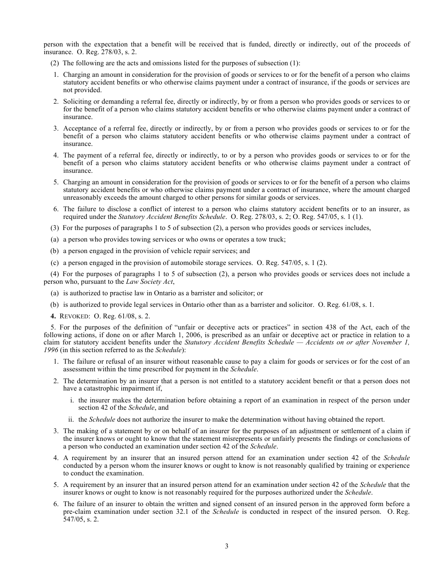person with the expectation that a benefit will be received that is funded, directly or indirectly, out of the proceeds of insurance. O. Reg. 278/03, s. 2.

- (2) The following are the acts and omissions listed for the purposes of subsection (1):
- 1. Charging an amount in consideration for the provision of goods or services to or for the benefit of a person who claims statutory accident benefits or who otherwise claims payment under a contract of insurance, if the goods or services are not provided.
- 2. Soliciting or demanding a referral fee, directly or indirectly, by or from a person who provides goods or services to or for the benefit of a person who claims statutory accident benefits or who otherwise claims payment under a contract of insurance.
- 3. Acceptance of a referral fee, directly or indirectly, by or from a person who provides goods or services to or for the benefit of a person who claims statutory accident benefits or who otherwise claims payment under a contract of insurance.
- 4. The payment of a referral fee, directly or indirectly, to or by a person who provides goods or services to or for the benefit of a person who claims statutory accident benefits or who otherwise claims payment under a contract of insurance.
- 5. Charging an amount in consideration for the provision of goods or services to or for the benefit of a person who claims statutory accident benefits or who otherwise claims payment under a contract of insurance, where the amount charged unreasonably exceeds the amount charged to other persons for similar goods or services.
- 6. The failure to disclose a conflict of interest to a person who claims statutory accident benefits or to an insurer, as required under the *Statutory Accident Benefits Schedule*. O. Reg. 278/03, s. 2; O. Reg. 547/05, s. 1 (1).
- (3) For the purposes of paragraphs 1 to 5 of subsection (2), a person who provides goods or services includes,
- (a) a person who provides towing services or who owns or operates a tow truck;
- (b) a person engaged in the provision of vehicle repair services; and
- (c) a person engaged in the provision of automobile storage services. O. Reg. 547/05, s. 1 (2).

(4) For the purposes of paragraphs 1 to 5 of subsection (2), a person who provides goods or services does not include a person who, pursuant to the *Law Society Act*,

- (a) is authorized to practise law in Ontario as a barrister and solicitor; or
- (b) is authorized to provide legal services in Ontario other than as a barrister and solicitor. O. Reg. 61/08, s. 1.
- **4.** REVOKED: O. Reg. 61/08, s. 2.

5.For the purposes of the definition of "unfair or deceptive acts or practices" in section 438 of the Act, each of the following actions, if done on or after March 1, 2006, is prescribed as an unfair or deceptive act or practice in relation to a claim for statutory accident benefits under the *Statutory Accident Benefits Schedule — Accidents on or after November 1, 1996* (in this section referred to as the *Schedule*):

- 1. The failure or refusal of an insurer without reasonable cause to pay a claim for goods or services or for the cost of an assessment within the time prescribed for payment in the *Schedule*.
- 2. The determination by an insurer that a person is not entitled to a statutory accident benefit or that a person does not have a catastrophic impairment if,
	- i. the insurer makes the determination before obtaining a report of an examination in respect of the person under section 42 of the *Schedule*, and
	- ii. the *Schedule* does not authorize the insurer to make the determination without having obtained the report.
- 3. The making of a statement by or on behalf of an insurer for the purposes of an adjustment or settlement of a claim if the insurer knows or ought to know that the statement misrepresents or unfairly presents the findings or conclusions of a person who conducted an examination under section 42 of the *Schedule*.
- 4. A requirement by an insurer that an insured person attend for an examination under section 42 of the *Schedule*  conducted by a person whom the insurer knows or ought to know is not reasonably qualified by training or experience to conduct the examination.
- 5. A requirement by an insurer that an insured person attend for an examination under section 42 of the *Schedule* that the insurer knows or ought to know is not reasonably required for the purposes authorized under the *Schedule*.
- 6. The failure of an insurer to obtain the written and signed consent of an insured person in the approved form before a pre-claim examination under section 32.1 of the *Schedule* is conducted in respect of the insured person. O. Reg. 547/05, s. 2.